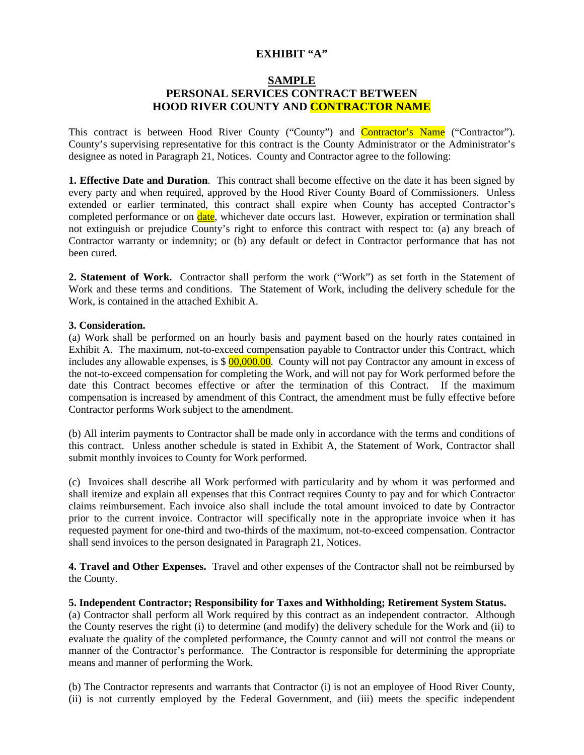# **EXHIBIT "A"**

## **SAMPLE PERSONAL SERVICES CONTRACT BETWEEN HOOD RIVER COUNTY AND CONTRACTOR NAME**

This contract is between Hood River County ("County") and **Contractor's Name** ("Contractor"). County's supervising representative for this contract is the County Administrator or the Administrator's designee as noted in Paragraph 21, Notices. County and Contractor agree to the following:

**1. Effective Date and Duration**. This contract shall become effective on the date it has been signed by every party and when required, approved by the Hood River County Board of Commissioners. Unless extended or earlier terminated, this contract shall expire when County has accepted Contractor's completed performance or on **date**, whichever date occurs last. However, expiration or termination shall not extinguish or prejudice County's right to enforce this contract with respect to: (a) any breach of Contractor warranty or indemnity; or (b) any default or defect in Contractor performance that has not been cured.

**2. Statement of Work.** Contractor shall perform the work ("Work") as set forth in the Statement of Work and these terms and conditions. The Statement of Work, including the delivery schedule for the Work, is contained in the attached Exhibit A.

## **3. Consideration.**

(a) Work shall be performed on an hourly basis and payment based on the hourly rates contained in Exhibit A. The maximum, not-to-exceed compensation payable to Contractor under this Contract, which includes any allowable expenses, is  $\frac{$00,000.00}{0}$ . County will not pay Contractor any amount in excess of the not-to-exceed compensation for completing the Work, and will not pay for Work performed before the date this Contract becomes effective or after the termination of this Contract. If the maximum compensation is increased by amendment of this Contract, the amendment must be fully effective before Contractor performs Work subject to the amendment.

(b) All interim payments to Contractor shall be made only in accordance with the terms and conditions of this contract. Unless another schedule is stated in Exhibit A, the Statement of Work, Contractor shall submit monthly invoices to County for Work performed.

(c) Invoices shall describe all Work performed with particularity and by whom it was performed and shall itemize and explain all expenses that this Contract requires County to pay and for which Contractor claims reimbursement. Each invoice also shall include the total amount invoiced to date by Contractor prior to the current invoice. Contractor will specifically note in the appropriate invoice when it has requested payment for one-third and two-thirds of the maximum, not-to-exceed compensation. Contractor shall send invoices to the person designated in Paragraph 21, Notices.

**4. Travel and Other Expenses.** Travel and other expenses of the Contractor shall not be reimbursed by the County.

### **5. Independent Contractor; Responsibility for Taxes and Withholding; Retirement System Status.**

(a) Contractor shall perform all Work required by this contract as an independent contractor. Although the County reserves the right (i) to determine (and modify) the delivery schedule for the Work and (ii) to evaluate the quality of the completed performance, the County cannot and will not control the means or manner of the Contractor's performance. The Contractor is responsible for determining the appropriate means and manner of performing the Work.

(b) The Contractor represents and warrants that Contractor (i) is not an employee of Hood River County, (ii) is not currently employed by the Federal Government, and (iii) meets the specific independent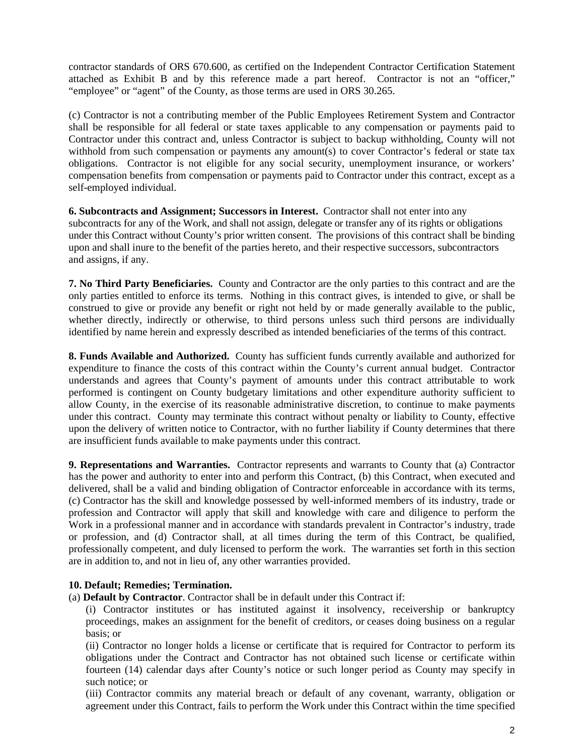contractor standards of ORS 670.600, as certified on the Independent Contractor Certification Statement attached as Exhibit B and by this reference made a part hereof. Contractor is not an "officer," "employee" or "agent" of the County, as those terms are used in ORS 30.265.

(c) Contractor is not a contributing member of the Public Employees Retirement System and Contractor shall be responsible for all federal or state taxes applicable to any compensation or payments paid to Contractor under this contract and, unless Contractor is subject to backup withholding, County will not withhold from such compensation or payments any amount(s) to cover Contractor's federal or state tax obligations. Contractor is not eligible for any social security, unemployment insurance, or workers' compensation benefits from compensation or payments paid to Contractor under this contract, except as a self-employed individual.

**6. Subcontracts and Assignment; Successors in Interest.** Contractor shall not enter into any subcontracts for any of the Work, and shall not assign, delegate or transfer any of its rights or obligations under this Contract without County's prior written consent. The provisions of this contract shall be binding upon and shall inure to the benefit of the parties hereto, and their respective successors, subcontractors and assigns, if any.

**7. No Third Party Beneficiaries.** County and Contractor are the only parties to this contract and are the only parties entitled to enforce its terms. Nothing in this contract gives, is intended to give, or shall be construed to give or provide any benefit or right not held by or made generally available to the public, whether directly, indirectly or otherwise, to third persons unless such third persons are individually identified by name herein and expressly described as intended beneficiaries of the terms of this contract.

**8. Funds Available and Authorized.** County has sufficient funds currently available and authorized for expenditure to finance the costs of this contract within the County's current annual budget. Contractor understands and agrees that County's payment of amounts under this contract attributable to work performed is contingent on County budgetary limitations and other expenditure authority sufficient to allow County, in the exercise of its reasonable administrative discretion, to continue to make payments under this contract. County may terminate this contract without penalty or liability to County, effective upon the delivery of written notice to Contractor, with no further liability if County determines that there are insufficient funds available to make payments under this contract.

**9. Representations and Warranties.** Contractor represents and warrants to County that (a) Contractor has the power and authority to enter into and perform this Contract, (b) this Contract, when executed and delivered, shall be a valid and binding obligation of Contractor enforceable in accordance with its terms, (c) Contractor has the skill and knowledge possessed by well-informed members of its industry, trade or profession and Contractor will apply that skill and knowledge with care and diligence to perform the Work in a professional manner and in accordance with standards prevalent in Contractor's industry, trade or profession, and (d) Contractor shall, at all times during the term of this Contract, be qualified, professionally competent, and duly licensed to perform the work. The warranties set forth in this section are in addition to, and not in lieu of, any other warranties provided.

# **10. Default; Remedies; Termination.**

(a) **Default by Contractor**. Contractor shall be in default under this Contract if:

(i) Contractor institutes or has instituted against it insolvency, receivership or bankruptcy proceedings, makes an assignment for the benefit of creditors, or ceases doing business on a regular basis; or

(ii) Contractor no longer holds a license or certificate that is required for Contractor to perform its obligations under the Contract and Contractor has not obtained such license or certificate within fourteen (14) calendar days after County's notice or such longer period as County may specify in such notice; or

(iii) Contractor commits any material breach or default of any covenant, warranty, obligation or agreement under this Contract, fails to perform the Work under this Contract within the time specified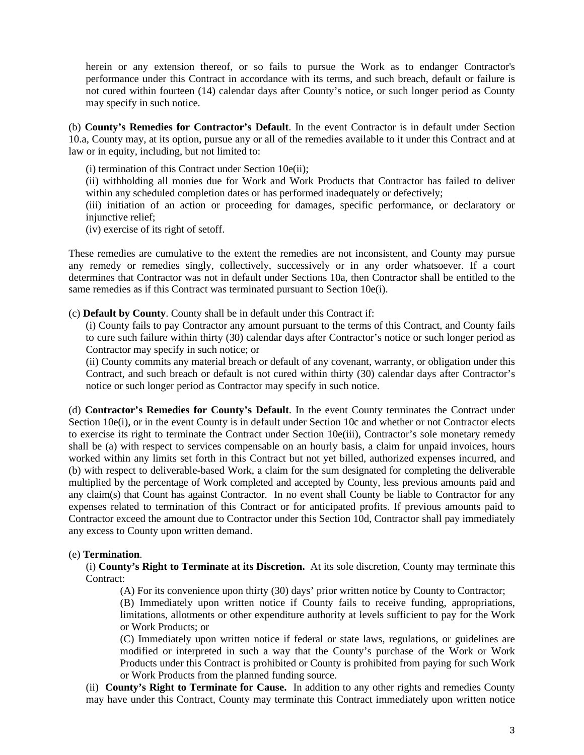herein or any extension thereof, or so fails to pursue the Work as to endanger Contractor's performance under this Contract in accordance with its terms, and such breach, default or failure is not cured within fourteen (14) calendar days after County's notice, or such longer period as County may specify in such notice.

(b) **County's Remedies for Contractor's Default**. In the event Contractor is in default under Section 10.a, County may, at its option, pursue any or all of the remedies available to it under this Contract and at law or in equity, including, but not limited to:

(i) termination of this Contract under Section 10e(ii);

(ii) withholding all monies due for Work and Work Products that Contractor has failed to deliver within any scheduled completion dates or has performed inadequately or defectively;

(iii) initiation of an action or proceeding for damages, specific performance, or declaratory or injunctive relief;

(iv) exercise of its right of setoff.

These remedies are cumulative to the extent the remedies are not inconsistent, and County may pursue any remedy or remedies singly, collectively, successively or in any order whatsoever. If a court determines that Contractor was not in default under Sections 10a, then Contractor shall be entitled to the same remedies as if this Contract was terminated pursuant to Section 10e(i).

(c) **Default by County**. County shall be in default under this Contract if:

(i) County fails to pay Contractor any amount pursuant to the terms of this Contract, and County fails to cure such failure within thirty (30) calendar days after Contractor's notice or such longer period as Contractor may specify in such notice; or

(ii) County commits any material breach or default of any covenant, warranty, or obligation under this Contract, and such breach or default is not cured within thirty (30) calendar days after Contractor's notice or such longer period as Contractor may specify in such notice.

(d) **Contractor's Remedies for County's Default**. In the event County terminates the Contract under Section 10e(i), or in the event County is in default under Section 10c and whether or not Contractor elects to exercise its right to terminate the Contract under Section 10e(iii), Contractor's sole monetary remedy shall be (a) with respect to services compensable on an hourly basis, a claim for unpaid invoices, hours worked within any limits set forth in this Contract but not yet billed, authorized expenses incurred, and (b) with respect to deliverable-based Work, a claim for the sum designated for completing the deliverable multiplied by the percentage of Work completed and accepted by County, less previous amounts paid and any claim(s) that Count has against Contractor. In no event shall County be liable to Contractor for any expenses related to termination of this Contract or for anticipated profits. If previous amounts paid to Contractor exceed the amount due to Contractor under this Section 10d, Contractor shall pay immediately any excess to County upon written demand.

## (e) **Termination**.

(i) **County's Right to Terminate at its Discretion.** At its sole discretion, County may terminate this Contract:

(A) For its convenience upon thirty (30) days' prior written notice by County to Contractor;

(B) Immediately upon written notice if County fails to receive funding, appropriations, limitations, allotments or other expenditure authority at levels sufficient to pay for the Work or Work Products; or

(C) Immediately upon written notice if federal or state laws, regulations, or guidelines are modified or interpreted in such a way that the County's purchase of the Work or Work Products under this Contract is prohibited or County is prohibited from paying for such Work or Work Products from the planned funding source.

(ii) **County's Right to Terminate for Cause.** In addition to any other rights and remedies County may have under this Contract, County may terminate this Contract immediately upon written notice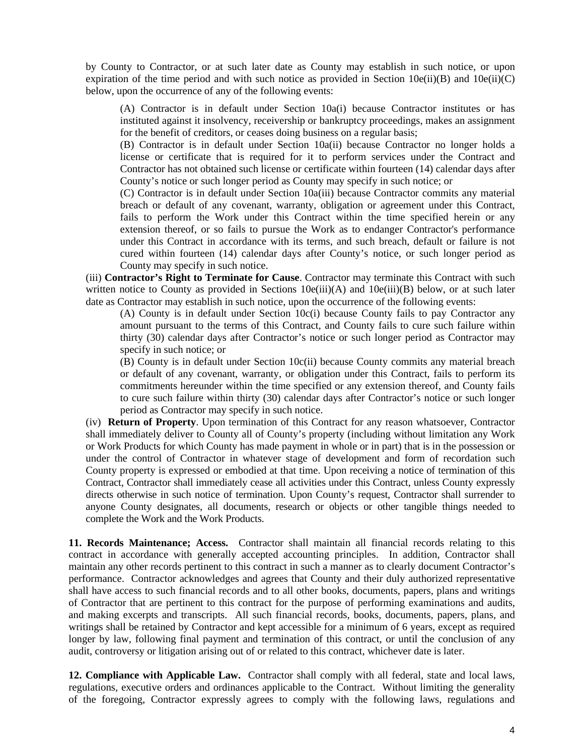by County to Contractor, or at such later date as County may establish in such notice, or upon expiration of the time period and with such notice as provided in Section  $10e(ii)(B)$  and  $10e(ii)(C)$ below, upon the occurrence of any of the following events:

(A) Contractor is in default under Section 10a(i) because Contractor institutes or has instituted against it insolvency, receivership or bankruptcy proceedings, makes an assignment for the benefit of creditors, or ceases doing business on a regular basis;

(B) Contractor is in default under Section 10a(ii) because Contractor no longer holds a license or certificate that is required for it to perform services under the Contract and Contractor has not obtained such license or certificate within fourteen (14) calendar days after County's notice or such longer period as County may specify in such notice; or

(C) Contractor is in default under Section 10a(iii) because Contractor commits any material breach or default of any covenant, warranty, obligation or agreement under this Contract, fails to perform the Work under this Contract within the time specified herein or any extension thereof, or so fails to pursue the Work as to endanger Contractor's performance under this Contract in accordance with its terms, and such breach, default or failure is not cured within fourteen (14) calendar days after County's notice, or such longer period as County may specify in such notice.

(iii) **Contractor's Right to Terminate for Cause**. Contractor may terminate this Contract with such written notice to County as provided in Sections  $10e(iii)(A)$  and  $10e(iii)(B)$  below, or at such later date as Contractor may establish in such notice, upon the occurrence of the following events:

(A) County is in default under Section 10c(i) because County fails to pay Contractor any amount pursuant to the terms of this Contract, and County fails to cure such failure within thirty (30) calendar days after Contractor's notice or such longer period as Contractor may specify in such notice; or

(B) County is in default under Section 10c(ii) because County commits any material breach or default of any covenant, warranty, or obligation under this Contract, fails to perform its commitments hereunder within the time specified or any extension thereof, and County fails to cure such failure within thirty (30) calendar days after Contractor's notice or such longer period as Contractor may specify in such notice.

(iv) **Return of Property**. Upon termination of this Contract for any reason whatsoever, Contractor shall immediately deliver to County all of County's property (including without limitation any Work or Work Products for which County has made payment in whole or in part) that is in the possession or under the control of Contractor in whatever stage of development and form of recordation such County property is expressed or embodied at that time. Upon receiving a notice of termination of this Contract, Contractor shall immediately cease all activities under this Contract, unless County expressly directs otherwise in such notice of termination. Upon County's request, Contractor shall surrender to anyone County designates, all documents, research or objects or other tangible things needed to complete the Work and the Work Products.

**11. Records Maintenance; Access.** Contractor shall maintain all financial records relating to this contract in accordance with generally accepted accounting principles. In addition, Contractor shall maintain any other records pertinent to this contract in such a manner as to clearly document Contractor's performance. Contractor acknowledges and agrees that County and their duly authorized representative shall have access to such financial records and to all other books, documents, papers, plans and writings of Contractor that are pertinent to this contract for the purpose of performing examinations and audits, and making excerpts and transcripts. All such financial records, books, documents, papers, plans, and writings shall be retained by Contractor and kept accessible for a minimum of 6 years, except as required longer by law, following final payment and termination of this contract, or until the conclusion of any audit, controversy or litigation arising out of or related to this contract, whichever date is later.

**12. Compliance with Applicable Law.** Contractor shall comply with all federal, state and local laws, regulations, executive orders and ordinances applicable to the Contract. Without limiting the generality of the foregoing, Contractor expressly agrees to comply with the following laws, regulations and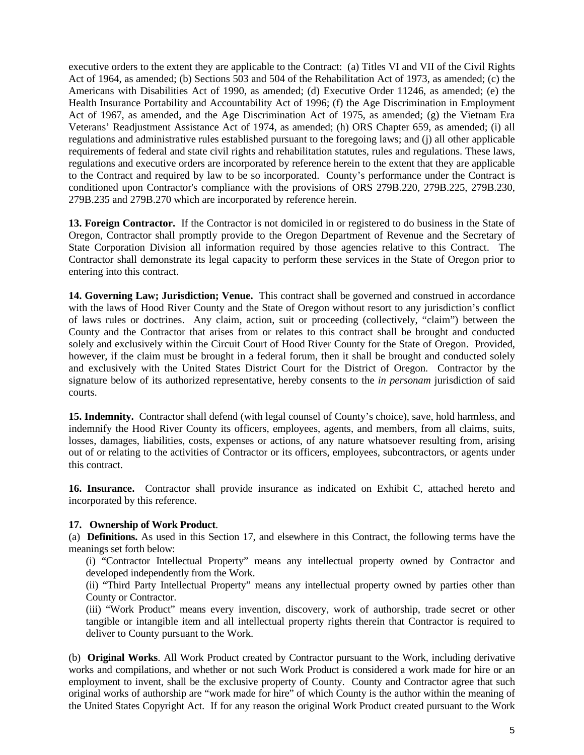executive orders to the extent they are applicable to the Contract: (a) Titles VI and VII of the Civil Rights Act of 1964, as amended; (b) Sections 503 and 504 of the Rehabilitation Act of 1973, as amended; (c) the Americans with Disabilities Act of 1990, as amended; (d) Executive Order 11246, as amended; (e) the Health Insurance Portability and Accountability Act of 1996; (f) the Age Discrimination in Employment Act of 1967, as amended, and the Age Discrimination Act of 1975, as amended; (g) the Vietnam Era Veterans' Readjustment Assistance Act of 1974, as amended; (h) ORS Chapter 659, as amended; (i) all regulations and administrative rules established pursuant to the foregoing laws; and (j) all other applicable requirements of federal and state civil rights and rehabilitation statutes, rules and regulations. These laws, regulations and executive orders are incorporated by reference herein to the extent that they are applicable to the Contract and required by law to be so incorporated. County's performance under the Contract is conditioned upon Contractor's compliance with the provisions of ORS 279B.220, 279B.225, 279B.230, 279B.235 and 279B.270 which are incorporated by reference herein.

**13. Foreign Contractor.** If the Contractor is not domiciled in or registered to do business in the State of Oregon, Contractor shall promptly provide to the Oregon Department of Revenue and the Secretary of State Corporation Division all information required by those agencies relative to this Contract. The Contractor shall demonstrate its legal capacity to perform these services in the State of Oregon prior to entering into this contract.

**14. Governing Law; Jurisdiction; Venue.** This contract shall be governed and construed in accordance with the laws of Hood River County and the State of Oregon without resort to any jurisdiction's conflict of laws rules or doctrines. Any claim, action, suit or proceeding (collectively, "claim") between the County and the Contractor that arises from or relates to this contract shall be brought and conducted solely and exclusively within the Circuit Court of Hood River County for the State of Oregon. Provided, however, if the claim must be brought in a federal forum, then it shall be brought and conducted solely and exclusively with the United States District Court for the District of Oregon. Contractor by the signature below of its authorized representative, hereby consents to the *in personam* jurisdiction of said courts.

**15. Indemnity.** Contractor shall defend (with legal counsel of County's choice), save, hold harmless, and indemnify the Hood River County its officers, employees, agents, and members, from all claims, suits, losses, damages, liabilities, costs, expenses or actions, of any nature whatsoever resulting from, arising out of or relating to the activities of Contractor or its officers, employees, subcontractors, or agents under this contract.

**16. Insurance.** Contractor shall provide insurance as indicated on Exhibit C, attached hereto and incorporated by this reference.

## **17. Ownership of Work Product**.

(a) **Definitions.** As used in this Section 17, and elsewhere in this Contract, the following terms have the meanings set forth below:

(i) "Contractor Intellectual Property" means any intellectual property owned by Contractor and developed independently from the Work.

(ii) "Third Party Intellectual Property" means any intellectual property owned by parties other than County or Contractor.

(iii) "Work Product" means every invention, discovery, work of authorship, trade secret or other tangible or intangible item and all intellectual property rights therein that Contractor is required to deliver to County pursuant to the Work.

(b) **Original Works**. All Work Product created by Contractor pursuant to the Work, including derivative works and compilations, and whether or not such Work Product is considered a work made for hire or an employment to invent, shall be the exclusive property of County. County and Contractor agree that such original works of authorship are "work made for hire" of which County is the author within the meaning of the United States Copyright Act. If for any reason the original Work Product created pursuant to the Work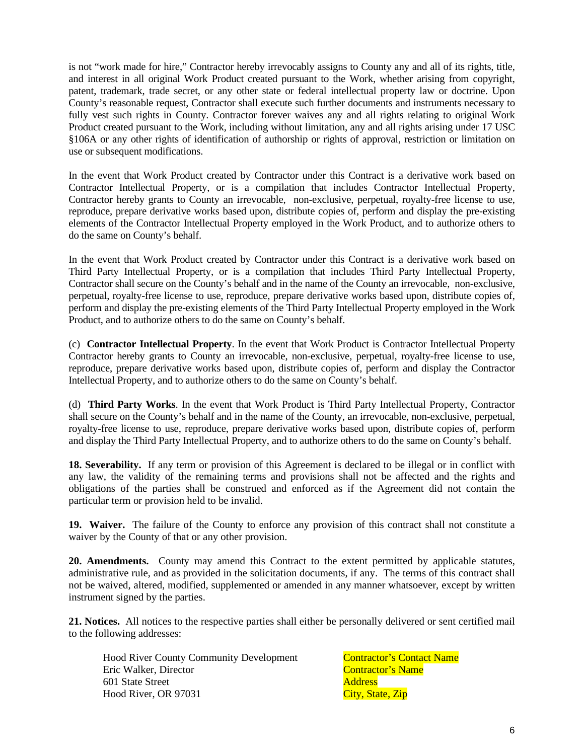is not "work made for hire," Contractor hereby irrevocably assigns to County any and all of its rights, title, and interest in all original Work Product created pursuant to the Work, whether arising from copyright, patent, trademark, trade secret, or any other state or federal intellectual property law or doctrine. Upon County's reasonable request, Contractor shall execute such further documents and instruments necessary to fully vest such rights in County. Contractor forever waives any and all rights relating to original Work Product created pursuant to the Work, including without limitation, any and all rights arising under 17 USC §106A or any other rights of identification of authorship or rights of approval, restriction or limitation on use or subsequent modifications.

In the event that Work Product created by Contractor under this Contract is a derivative work based on Contractor Intellectual Property, or is a compilation that includes Contractor Intellectual Property, Contractor hereby grants to County an irrevocable, non-exclusive, perpetual, royalty-free license to use, reproduce, prepare derivative works based upon, distribute copies of, perform and display the pre-existing elements of the Contractor Intellectual Property employed in the Work Product, and to authorize others to do the same on County's behalf.

In the event that Work Product created by Contractor under this Contract is a derivative work based on Third Party Intellectual Property, or is a compilation that includes Third Party Intellectual Property, Contractor shall secure on the County's behalf and in the name of the County an irrevocable, non-exclusive, perpetual, royalty-free license to use, reproduce, prepare derivative works based upon, distribute copies of, perform and display the pre-existing elements of the Third Party Intellectual Property employed in the Work Product, and to authorize others to do the same on County's behalf.

(c) **Contractor Intellectual Property**. In the event that Work Product is Contractor Intellectual Property Contractor hereby grants to County an irrevocable, non-exclusive, perpetual, royalty-free license to use, reproduce, prepare derivative works based upon, distribute copies of, perform and display the Contractor Intellectual Property, and to authorize others to do the same on County's behalf.

(d) **Third Party Works**. In the event that Work Product is Third Party Intellectual Property, Contractor shall secure on the County's behalf and in the name of the County, an irrevocable, non-exclusive, perpetual, royalty-free license to use, reproduce, prepare derivative works based upon, distribute copies of, perform and display the Third Party Intellectual Property, and to authorize others to do the same on County's behalf.

**18. Severability.** If any term or provision of this Agreement is declared to be illegal or in conflict with any law, the validity of the remaining terms and provisions shall not be affected and the rights and obligations of the parties shall be construed and enforced as if the Agreement did not contain the particular term or provision held to be invalid.

**19. Waiver.** The failure of the County to enforce any provision of this contract shall not constitute a waiver by the County of that or any other provision.

**20. Amendments.** County may amend this Contract to the extent permitted by applicable statutes, administrative rule, and as provided in the solicitation documents, if any. The terms of this contract shall not be waived, altered, modified, supplemented or amended in any manner whatsoever, except by written instrument signed by the parties.

**21. Notices.** All notices to the respective parties shall either be personally delivered or sent certified mail to the following addresses:

Hood River County Community Development Contractor's Contact Name Eric Walker, Director Contractor's Name 601 State Street **Address** Hood River, OR 97031 City, State, Zip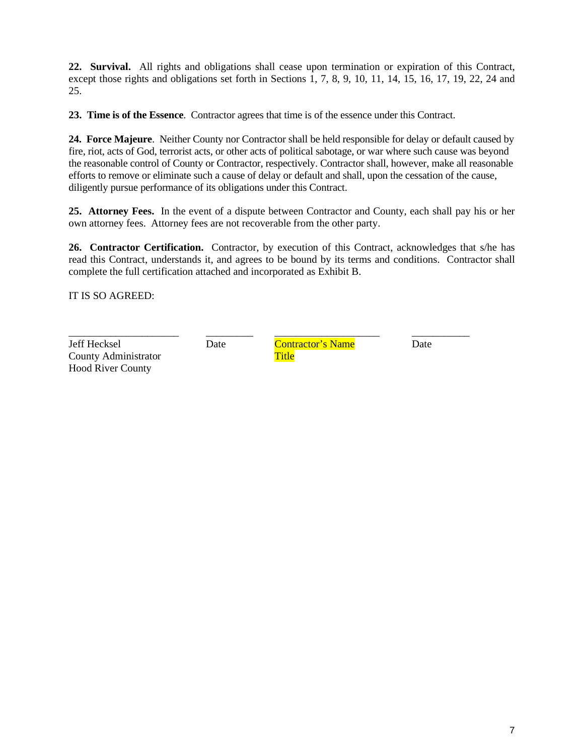**22. Survival.** All rights and obligations shall cease upon termination or expiration of this Contract, except those rights and obligations set forth in Sections 1, 7, 8, 9, 10, 11, 14, 15, 16, 17, 19, 22, 24 and 25.

**23. Time is of the Essence**. Contractor agrees that time is of the essence under this Contract.

**24. Force Majeure**. Neither County nor Contractor shall be held responsible for delay or default caused by fire, riot, acts of God, terrorist acts, or other acts of political sabotage, or war where such cause was beyond the reasonable control of County or Contractor, respectively. Contractor shall, however, make all reasonable efforts to remove or eliminate such a cause of delay or default and shall, upon the cessation of the cause, diligently pursue performance of its obligations under this Contract.

**25. Attorney Fees.** In the event of a dispute between Contractor and County, each shall pay his or her own attorney fees. Attorney fees are not recoverable from the other party.

**26. Contractor Certification.** Contractor, by execution of this Contract, acknowledges that s/he has read this Contract, understands it, and agrees to be bound by its terms and conditions. Contractor shall complete the full certification attached and incorporated as Exhibit B.

IT IS SO AGREED:

Jeff Hecksel Date Contractor's Name Date County Administrator Title Hood River County

\_\_\_\_\_\_\_\_\_\_\_\_\_\_\_\_\_\_\_\_\_ \_\_\_\_\_\_\_\_\_ \_\_\_\_\_\_\_\_\_\_\_\_\_\_\_\_\_\_\_\_ \_\_\_\_\_\_\_\_\_\_\_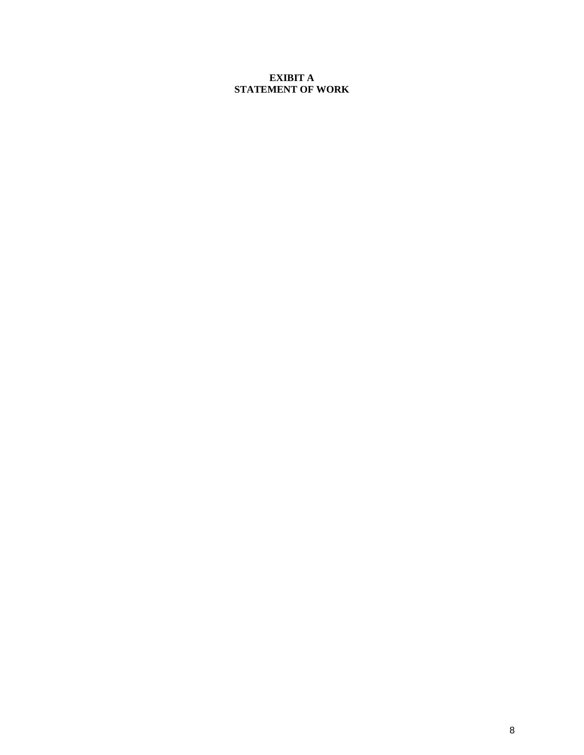# **EXIBIT A STATEMENT OF WORK**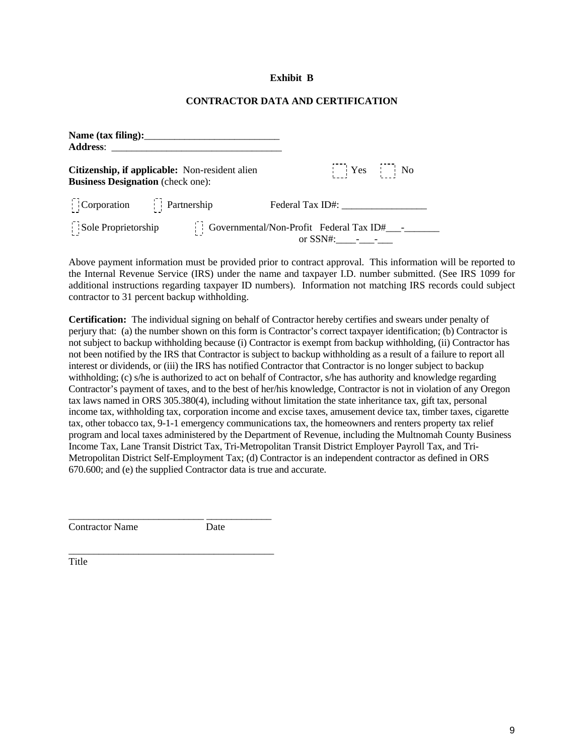## **Exhibit B**

## **CONTRACTOR DATA AND CERTIFICATION**

| Citizenship, if applicable: Non-resident alien<br><b>Business Designation</b> (check one):                                                       |  |                  | $Yes$ No |  |
|--------------------------------------------------------------------------------------------------------------------------------------------------|--|------------------|----------|--|
| Corporation Partnership                                                                                                                          |  | Federal Tax ID#: |          |  |
| $\begin{bmatrix} \cdot & \cdot & \cdot \\ \cdot & \cdot & \cdot \end{bmatrix}$ Sole Proprietorship Governmental/Non-Profit Federal Tax ID#______ |  |                  |          |  |

Above payment information must be provided prior to contract approval. This information will be reported to the Internal Revenue Service (IRS) under the name and taxpayer I.D. number submitted. (See IRS 1099 for additional instructions regarding taxpayer ID numbers). Information not matching IRS records could subject contractor to 31 percent backup withholding.

**Certification:** The individual signing on behalf of Contractor hereby certifies and swears under penalty of perjury that: (a) the number shown on this form is Contractor's correct taxpayer identification; (b) Contractor is not subject to backup withholding because (i) Contractor is exempt from backup withholding, (ii) Contractor has not been notified by the IRS that Contractor is subject to backup withholding as a result of a failure to report all interest or dividends, or (iii) the IRS has notified Contractor that Contractor is no longer subject to backup withholding; (c) s/he is authorized to act on behalf of Contractor, s/he has authority and knowledge regarding Contractor's payment of taxes, and to the best of her/his knowledge, Contractor is not in violation of any Oregon tax laws named in ORS 305.380(4), including without limitation the state inheritance tax, gift tax, personal income tax, withholding tax, corporation income and excise taxes, amusement device tax, timber taxes, cigarette tax, other tobacco tax, 9-1-1 emergency communications tax, the homeowners and renters property tax relief program and local taxes administered by the Department of Revenue, including the Multnomah County Business Income Tax, Lane Transit District Tax, Tri-Metropolitan Transit District Employer Payroll Tax, and Tri-Metropolitan District Self-Employment Tax; (d) Contractor is an independent contractor as defined in ORS 670.600; and (e) the supplied Contractor data is true and accurate.

Contractor Name Date

\_\_\_\_\_\_\_\_\_\_\_\_\_\_\_\_\_\_\_\_\_\_\_\_\_\_\_ \_\_\_\_\_\_\_\_\_\_\_\_\_

\_\_\_\_\_\_\_\_\_\_\_\_\_\_\_\_\_\_\_\_\_\_\_\_\_\_\_\_\_\_\_\_\_\_\_\_\_\_\_\_\_ Title